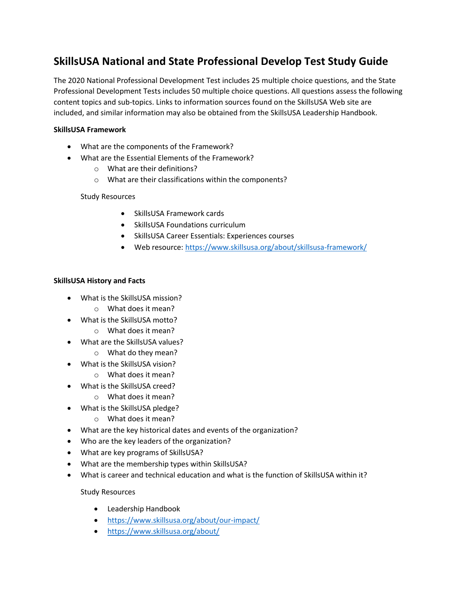# **SkillsUSA National and State Professional Develop Test Study Guide**

The 2020 National Professional Development Test includes 25 multiple choice questions, and the State Professional Development Tests includes 50 multiple choice questions. All questions assess the following content topics and sub-topics. Links to information sources found on the SkillsUSA Web site are included, and similar information may also be obtained from the SkillsUSA Leadership Handbook.

## **SkillsUSA Framework**

- What are the components of the Framework?
- What are the Essential Elements of the Framework?
	- o What are their definitions?
	- o What are their classifications within the components?

Study Resources

- SkillsUSA Framework cards
- SkillsUSA Foundations curriculum
- SkillsUSA Career Essentials: Experiences courses
- Web resource: <https://www.skillsusa.org/about/skillsusa-framework/>

#### **SkillsUSA History and Facts**

- What is the SkillsUSA mission?
	- o What does it mean?
- What is the SkillsUSA motto?
	- o What does it mean?
- What are the SkillsUSA values?
	- o What do they mean?
- What is the SkillsUSA vision?
	- o What does it mean?
- What is the SkillsUSA creed?
	- o What does it mean?
- What is the SkillsUSA pledge?
	- o What does it mean?
- What are the key historical dates and events of the organization?
- Who are the key leaders of the organization?
- What are key programs of SkillsUSA?
- What are the membership types within SkillsUSA?
- What is career and technical education and what is the function of SkillsUSA within it?

## Study Resources

- Leadership Handbook
- <https://www.skillsusa.org/about/our-impact/>
- <https://www.skillsusa.org/about/>